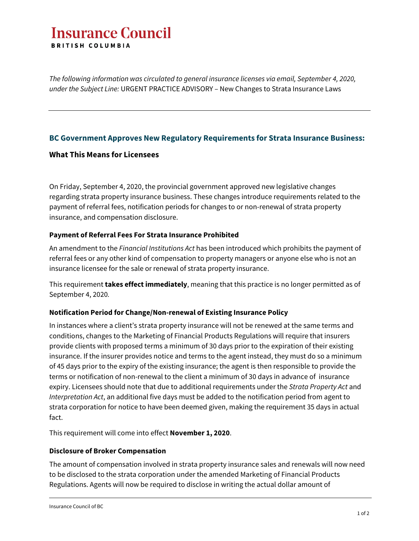# **Insurance Council BRITISH COLUMBIA**

*The following information was circulated to general insurance licenses via email, September 4, 2020, under the Subject Line:* URGENT PRACTICE ADVISORY – New Changes to Strata Insurance Laws

## **BC Government Approves New Regulatory Requirements for Strata Insurance Business:**

## **What This Means for Licensees**

On Friday, September 4, 2020, the provincial government approved new legislative changes regarding strata property insurance business. These changes introduce requirements related to the payment of referral fees, notification periods for changes to or non-renewal of strata property insurance, and compensation disclosure.

#### **Payment of Referral Fees For Strata Insurance Prohibited**

An amendment to the *Financial Institutions Act* has been introduced which prohibits the payment of referral fees or any other kind of compensation to property managers or anyone else who is not an insurance licensee for the sale or renewal of strata property insurance.

This requirement **takes effect immediately**, meaning that this practice is no longer permitted as of September 4, 2020*.*

## **Notification Period for Change/Non-renewal of Existing Insurance Policy**

In instances where a client's strata property insurance will not be renewed at the same terms and conditions, changes to the Marketing of Financial Products Regulations will require that insurers provide clients with proposed terms a minimum of 30 days prior to the expiration of their existing insurance. If the insurer provides notice and terms to the agent instead, they must do so a minimum of 45 days prior to the expiry of the existing insurance; the agent is then responsible to provide the terms or notification of non-renewal to the client a minimum of 30 days in advance of insurance expiry. Licensees should note that due to additional requirements under the *Strata Property Act* and *Interpretation Act*, an additional five days must be added to the notification period from agent to strata corporation for notice to have been deemed given, making the requirement 35 days in actual fact.

This requirement will come into effect **November 1, 2020**.

## **Disclosure of Broker Compensation**

The amount of compensation involved in strata property insurance sales and renewals will now need to be disclosed to the strata corporation under the amended Marketing of Financial Products Regulations. Agents will now be required to disclose in writing the actual dollar amount of